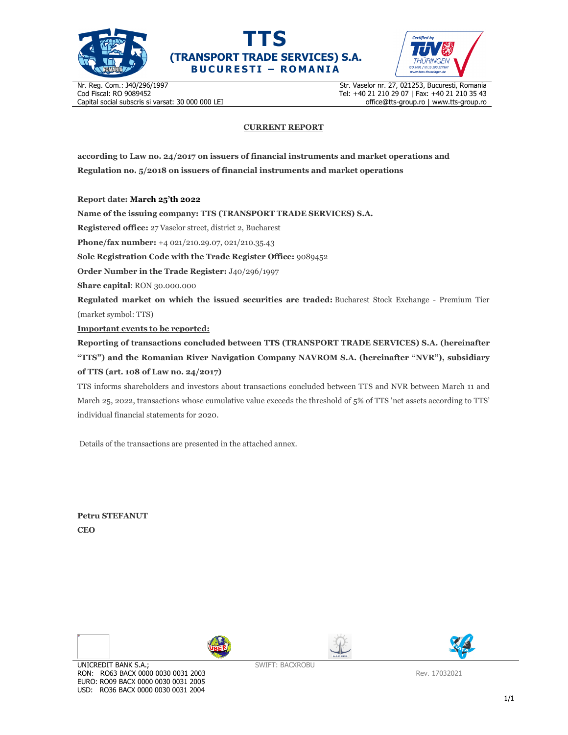





Nr. Reg. Com.: J40/296/1997 Cod Fiscal: RO 9089452 Capital social subscris si varsat: 30 000 000 LEI Str. Vaselor nr. 27, 021253, Bucuresti, Romania Tel: +40 21 210 29 07 | Fax: +40 21 210 35 43 office@tts-group.ro | www.tts-group.ro

## **CURRENT REPORT**

**according to Law no. 24/2017 on issuers of financial instruments and market operations and Regulation no. 5/2018 on issuers of financial instruments and market operations** 

**Report date: March 25'th 2022**

**Name of the issuing company: TTS (TRANSPORT TRADE SERVICES) S.A.**

**Registered office:** 27 Vaselor street, district 2, Bucharest

**Phone/fax number:** +4 021/210.29.07, 021/210.35.43

**Sole Registration Code with the Trade Register Office:** 9089452

**Order Number in the Trade Register:** J40/296/1997

**Share capital**: RON 30.000.000

**Regulated market on which the issued securities are traded:** Bucharest Stock Exchange - Premium Tier (market symbol: TTS)

**Important events to be reported:**

**Reporting of transactions concluded between TTS (TRANSPORT TRADE SERVICES) S.A. (hereinafter "TTS") and the Romanian River Navigation Company NAVROM S.A. (hereinafter "NVR"), subsidiary of TTS (art. 108 of Law no. 24/2017)** 

TTS informs shareholders and investors about transactions concluded between TTS and NVR between March 11 and March 25, 2022, transactions whose cumulative value exceeds the threshold of 5% of TTS 'net assets according to TTS' individual financial statements for 2020.

Details of the transactions are presented in the attached annex.

**Petru STEFANUT CEO** 

 $\overline{\phantom{a}}$ 







SWIFT: BACXROBU

Rev. 17032021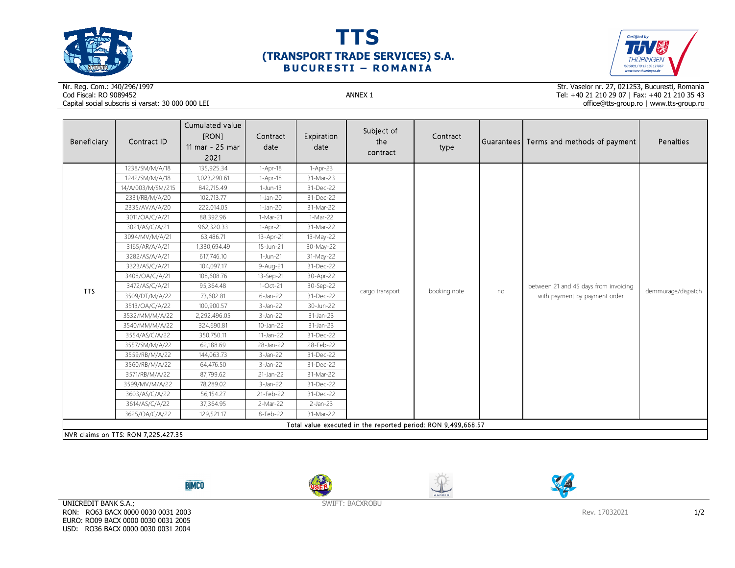





## Nr. Reg. Com.: J40/296/1997Cod Fiscal: RO 9089452 ANNEX 1 Capital social subscris si varsat: 30 000 000 LEI

Str. Vaselor nr. 27, 021253, Bucuresti, Romania Tel: +40 21 210 29 07 | Fax: +40 21 210 35 43 office@tts-group.ro | www.tts-group.ro

| Beneficiary | Contract ID                         | Cumulated value<br>[RON]<br>11 mar - 25 mar<br>2021 | Contract<br>date | Expiration<br>date | Subject of<br>the<br>contract                                 | Contract<br>type |    | Guarantees Terms and methods of payment                                | Penalties          |
|-------------|-------------------------------------|-----------------------------------------------------|------------------|--------------------|---------------------------------------------------------------|------------------|----|------------------------------------------------------------------------|--------------------|
| <b>TTS</b>  | 1238/SM/M/A/18                      | 135,925.34                                          | $1-Apr-18$       | $1-Apr-23$         |                                                               |                  | no | between 21 and 45 days from invoicing<br>with payment by payment order | demmurage/dispatch |
|             | 1242/SM/M/A/18                      | 1,023,290.61                                        | 1-Apr-18         | 31-Mar-23          |                                                               |                  |    |                                                                        |                    |
|             | 14/A/003/M/SM/215                   | 842,715.49                                          | $1-Jun-13$       | 31-Dec-22          |                                                               |                  |    |                                                                        |                    |
|             | 2331/RB/M/A/20                      | 102,713.77                                          | $1-Jan-20$       | 31-Dec-22          |                                                               |                  |    |                                                                        |                    |
|             | 2335/AV/A/A/20                      | 222,014.05                                          | $1-Jan-20$       | 31-Mar-22          |                                                               |                  |    |                                                                        |                    |
|             | 3011/OA/C/A/21                      | 88,392.96                                           | 1-Mar-21         | 1-Mar-22           |                                                               |                  |    |                                                                        |                    |
|             | 3021/AS/C/A/21                      | 962,320.33                                          | 1-Apr-21         | 31-Mar-22          |                                                               |                  |    |                                                                        |                    |
|             | 3094/MV/M/A/21                      | 63,486.71                                           | 13-Apr-21        | 13-May-22          |                                                               |                  |    |                                                                        |                    |
|             | 3165/AR/A/A/21                      | 1,330,694.49                                        | 15-Jun-21        | 30-May-22          |                                                               |                  |    |                                                                        |                    |
|             | 3282/AS/A/A/21                      | 617,746.10                                          | 1-Jun-21         | 31-May-22          | cargo transport                                               | booking note     |    |                                                                        |                    |
|             | 3323/AS/C/A/21                      | 104,097.17                                          | 9-Aug-21         | 31-Dec-22          |                                                               |                  |    |                                                                        |                    |
|             | 3408/OA/C/A/21                      | 108,608.76                                          | 13-Sep-21        | 30-Apr-22          |                                                               |                  |    |                                                                        |                    |
|             | 3472/AS/C/A/21                      | 95,364.48                                           | 1-Oct-21         | 30-Sep-22          |                                                               |                  |    |                                                                        |                    |
|             | 3509/DT/M/A/22                      | 73,602.81                                           | $6$ -Jan-22      | 31-Dec-22          |                                                               |                  |    |                                                                        |                    |
|             | 3513/OA/C/A/22                      | 100,900.57                                          | $3$ -Jan-22      | 30-Jun-22          |                                                               |                  |    |                                                                        |                    |
|             | 3532/MM/M/A/22                      | 2,292,496.05                                        | $3$ -Jan-22      | 31-Jan-23          |                                                               |                  |    |                                                                        |                    |
|             | 3540/MM/M/A/22                      | 324,690.81                                          | $10$ -Jan-22     | 31-Jan-23          |                                                               |                  |    |                                                                        |                    |
|             | 3554/AS/C/A/22                      | 350,750.11                                          | $11$ -Jan-22     | 31-Dec-22          |                                                               |                  |    |                                                                        |                    |
|             | 3557/SM/M/A/22                      | 62,188.69                                           | 28-Jan-22        | 28-Feb-22          |                                                               |                  |    |                                                                        |                    |
|             | 3559/RB/M/A/22                      | 144,063.73                                          | $3$ -Jan-22      | 31-Dec-22          |                                                               |                  |    |                                                                        |                    |
|             | 3560/RB/M/A/22                      | 64,476.50                                           | $3$ -Jan-22      | 31-Dec-22          |                                                               |                  |    |                                                                        |                    |
|             | 3571/RB/M/A/22                      | 87,799.62                                           | 21-Jan-22        | 31-Mar-22          |                                                               |                  |    |                                                                        |                    |
|             | 3599/MV/M/A/22                      | 78,289.02                                           | $3$ -Jan-22      | 31-Dec-22          |                                                               |                  |    |                                                                        |                    |
|             | 3603/AS/C/A/22                      | 56,154.27                                           | 21-Feb-22        | 31-Dec-22          |                                                               |                  |    |                                                                        |                    |
|             | 3614/AS/C/A/22                      | 37,364.95                                           | 2-Mar-22         | $2-Jan-23$         |                                                               |                  |    |                                                                        |                    |
|             | 3625/OA/C/A/22                      | 129,521.17                                          | 8-Feb-22         | 31-Mar-22          |                                                               |                  |    |                                                                        |                    |
|             |                                     |                                                     |                  |                    | Total value executed in the reported period: RON 9,499,668.57 |                  |    |                                                                        |                    |
|             | NVR claims on TTS: RON 7,225,427.35 |                                                     |                  |                    |                                                               |                  |    |                                                                        |                    |









UNICREDIT BANK S.A.; RON: RO63 BACX 0000 0030 0031 2003 EURO: RO09 BACX 0000 0030 0031 2005 USD: RO36 BACX 0000 0030 0031 2004

SWIFT: BACXROBU